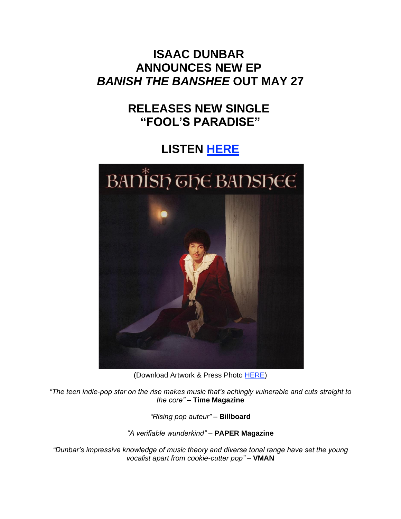## **ISAAC DUNBAR ANNOUNCES NEW EP** *BANISH THE BANSHEE* **OUT MAY 27**

## **RELEASES NEW SINGLE "FOOL'S PARADISE"**

# **LISTEN [HERE](https://eur01.safelinks.protection.outlook.com/?url=https%3A%2F%2Fisaacdunbar.lnk.to%2FFoolsParadise&data=05%7C01%7Cnoelle.janasiewicz.sme%40sonymusic.com%7Ccd52628673ea4f1b094408da2474daa9%7Cf0aff3b791a54aaeaf71c63e1dda2049%7C0%7C0%7C637862381567983302%7CUnknown%7CTWFpbGZsb3d8eyJWIjoiMC4wLjAwMDAiLCJQIjoiV2luMzIiLCJBTiI6Ik1haWwiLCJXVCI6Mn0%3D%7C3000%7C%7C%7C&sdata=LMLe2%2B1ANNXcWZ7isMDGMD1BqrE0HeINIjREWMw0aSU%3D&reserved=0)**



(Download Artwork & Press Photo [HERE\)](https://eur01.safelinks.protection.outlook.com/?url=https%3A%2F%2Fbit.ly%2F3EuEkEY&data=05%7C01%7Cnoelle.janasiewicz.sme%40sonymusic.com%7Ccd52628673ea4f1b094408da2474daa9%7Cf0aff3b791a54aaeaf71c63e1dda2049%7C0%7C0%7C637862381567983302%7CUnknown%7CTWFpbGZsb3d8eyJWIjoiMC4wLjAwMDAiLCJQIjoiV2luMzIiLCJBTiI6Ik1haWwiLCJXVCI6Mn0%3D%7C3000%7C%7C%7C&sdata=HAsMteMF7LgMI9zLzvqFglfxnk4tej3QYtZwp9%2Fq7z8%3D&reserved=0)

*"The teen indie-pop star on the rise makes music that's achingly vulnerable and cuts straight to the core"* – **Time Magazine**

*"Rising pop auteur"* – **Billboard**

*"A verifiable wunderkind"* – **PAPER Magazine**

*"Dunbar's impressive knowledge of music theory and diverse tonal range have set the young vocalist apart from cookie-cutter pop"* – **VMAN**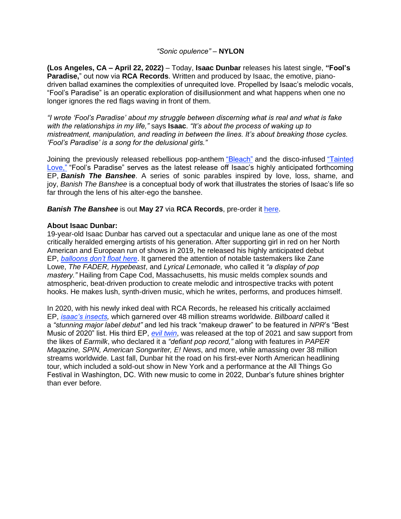### *"Sonic opulence"* – **NYLON**

**(Los Angeles, CA – April 22, 2022)** – Today, **Isaac Dunbar** releases his latest single, **"Fool's Paradise,**" out now via **RCA Records**. Written and produced by Isaac, the emotive, pianodriven ballad examines the complexities of unrequited love. Propelled by Isaac's melodic vocals, "Fool's Paradise" is an operatic exploration of disillusionment and what happens when one no longer ignores the red flags waving in front of them.

*"I wrote 'Fool's Paradise' about my struggle between discerning what is real and what is fake with the relationships in my life,"* says **Isaac**. *"It's about the process of waking up to mistreatment, manipulation, and reading in between the lines. It's about breaking those cycles. 'Fool's Paradise' is a song for the delusional girls."*

Joining the previously released rebellious pop-anthem ["Bleach"](https://eur01.safelinks.protection.outlook.com/?url=https%3A%2F%2Fisaacdunbar.lnk.to%2FBleach&data=05%7C01%7Cnoelle.janasiewicz.sme%40sonymusic.com%7Ccd52628673ea4f1b094408da2474daa9%7Cf0aff3b791a54aaeaf71c63e1dda2049%7C0%7C0%7C637862381567983302%7CUnknown%7CTWFpbGZsb3d8eyJWIjoiMC4wLjAwMDAiLCJQIjoiV2luMzIiLCJBTiI6Ik1haWwiLCJXVCI6Mn0%3D%7C3000%7C%7C%7C&sdata=GEfIUFf9Sq00ZdLwx7tKUiUJpraWlkjH1ibUdLvR6FQ%3D&reserved=0) and the disco-infused "Tainted [Love,"](https://eur01.safelinks.protection.outlook.com/?url=https%3A%2F%2Fisaacdunbar.lnk.to%2FTaintedLove&data=05%7C01%7Cnoelle.janasiewicz.sme%40sonymusic.com%7Ccd52628673ea4f1b094408da2474daa9%7Cf0aff3b791a54aaeaf71c63e1dda2049%7C0%7C0%7C637862381567983302%7CUnknown%7CTWFpbGZsb3d8eyJWIjoiMC4wLjAwMDAiLCJQIjoiV2luMzIiLCJBTiI6Ik1haWwiLCJXVCI6Mn0%3D%7C3000%7C%7C%7C&sdata=yAlfhUWjTM68ptthz%2Fmbv8efQhuuFbygvGl%2BV8STD4s%3D&reserved=0) "Fool's Paradise" serves as the latest release off Isaac's highly anticipated forthcoming EP, *Banish The Banshee*. A series of sonic parables inspired by love, loss, shame, and joy, *Banish The Banshee* is a conceptual body of work that illustrates the stories of Isaac's life so far through the lens of his alter-ego the banshee.

#### *Banish The Banshee* is out **May 27** via **RCA Records**, pre-order it [here.](https://eur01.safelinks.protection.outlook.com/?url=https%3A%2F%2Fisaacdunbar.lnk.to%2FBanishTheBanshee&data=05%7C01%7Cnoelle.janasiewicz.sme%40sonymusic.com%7Ccd52628673ea4f1b094408da2474daa9%7Cf0aff3b791a54aaeaf71c63e1dda2049%7C0%7C0%7C637862381567983302%7CUnknown%7CTWFpbGZsb3d8eyJWIjoiMC4wLjAwMDAiLCJQIjoiV2luMzIiLCJBTiI6Ik1haWwiLCJXVCI6Mn0%3D%7C3000%7C%7C%7C&sdata=YwFbHwydv75j3ceRgDEC5pHS1y10r9RWKQwVhPRDp6w%3D&reserved=0)

### **About Isaac Dunbar:**

19-year-old Isaac Dunbar has carved out a spectacular and unique lane as one of the most critically heralded emerging artists of his generation. After supporting girl in red on her North American and European run of shows in 2019, he released his highly anticipated debut EP, *[balloons don't float here](https://eur01.safelinks.protection.outlook.com/?url=https%3A%2F%2Fopen.spotify.com%2Falbum%2F4Qb82ieP4gzGzJiRnUNYyw&data=05%7C01%7Cnoelle.janasiewicz.sme%40sonymusic.com%7Ccd52628673ea4f1b094408da2474daa9%7Cf0aff3b791a54aaeaf71c63e1dda2049%7C0%7C0%7C637862381567983302%7CUnknown%7CTWFpbGZsb3d8eyJWIjoiMC4wLjAwMDAiLCJQIjoiV2luMzIiLCJBTiI6Ik1haWwiLCJXVCI6Mn0%3D%7C3000%7C%7C%7C&sdata=kcVEnizUE2ZZKOZWrpbEOsXbgA81gZ9MQ7mu0SvToTY%3D&reserved=0)*. It garnered the attention of notable tastemakers like Zane Lowe, *The FADER, Hypebeast*, and *Lyrical Lemonade,* who called it *"a display of pop mastery."* Hailing from Cape Cod, Massachusetts, his music melds complex sounds and atmospheric, beat-driven production to create melodic and introspective tracks with potent hooks. He makes lush, synth-driven music, which he writes, performs, and produces himself.

In 2020, with his newly inked deal with RCA Records, he released his critically acclaimed EP, *[isaac's insects,](https://eur01.safelinks.protection.outlook.com/?url=https%3A%2F%2Fsmarturl.it%2FisaacsinsectsEPx&data=05%7C01%7Cnoelle.janasiewicz.sme%40sonymusic.com%7Ccd52628673ea4f1b094408da2474daa9%7Cf0aff3b791a54aaeaf71c63e1dda2049%7C0%7C0%7C637862381567983302%7CUnknown%7CTWFpbGZsb3d8eyJWIjoiMC4wLjAwMDAiLCJQIjoiV2luMzIiLCJBTiI6Ik1haWwiLCJXVCI6Mn0%3D%7C3000%7C%7C%7C&sdata=BhPrseg9SUCIQu40i9pWxXBzQ0wZP93FpLn4ihbBZCo%3D&reserved=0)* which garnered over 48 million streams worldwide. *Billboard* called it a *"stunning major label debut"* and led his track "makeup drawer" to be featured in *NPR*'s "Best Music of 2020" list. His third EP, *[evil twin](https://eur01.safelinks.protection.outlook.com/?url=https%3A%2F%2Fsmarturl.it%2Fxeviltwin&data=05%7C01%7Cnoelle.janasiewicz.sme%40sonymusic.com%7Ccd52628673ea4f1b094408da2474daa9%7Cf0aff3b791a54aaeaf71c63e1dda2049%7C0%7C0%7C637862381567983302%7CUnknown%7CTWFpbGZsb3d8eyJWIjoiMC4wLjAwMDAiLCJQIjoiV2luMzIiLCJBTiI6Ik1haWwiLCJXVCI6Mn0%3D%7C3000%7C%7C%7C&sdata=9Mrvg0TjtSxwEo8t22RqXiWSNSoDw%2FVUXKqHcx4qNuU%3D&reserved=0)*, was released at the top of 2021 and saw support from the likes of *Earmilk*, who declared it a *"defiant pop record,"* along with features in *PAPER Magazine, SPIN, American Songwriter, E! News*, and more, while amassing over 38 million streams worldwide. Last fall, Dunbar hit the road on his first-ever North American headlining tour, which included a sold-out show in New York and a performance at the All Things Go Festival in Washington, DC. With new music to come in 2022, Dunbar's future shines brighter than ever before.